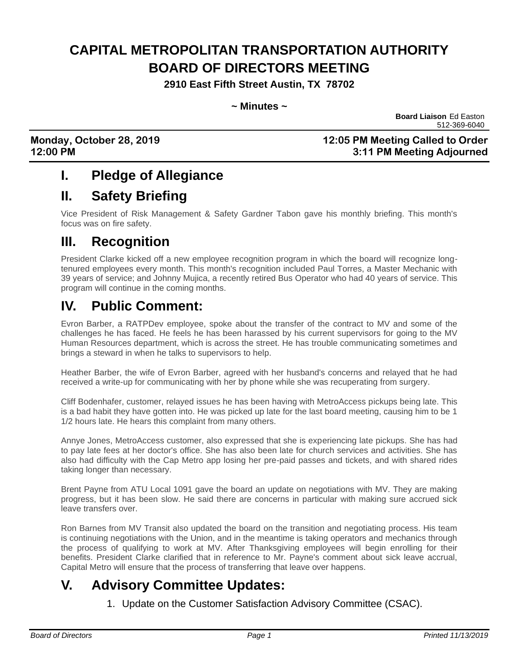# **CAPITAL METROPOLITAN TRANSPORTATION AUTHORITY BOARD OF DIRECTORS MEETING**

**2910 East Fifth Street Austin, TX 78702**

**~ Minutes ~**

**Board Liaison** Ed Easton 512-369-6040

**Monday, October 28, 2019 12:05 PM Meeting Called to Order 12:00 PM 3:11 PM Meeting Adjourned**

# **I. Pledge of Allegiance**

# **II. Safety Briefing**

Vice President of Risk Management & Safety Gardner Tabon gave his monthly briefing. This month's focus was on fire safety.

# **III. Recognition**

President Clarke kicked off a new employee recognition program in which the board will recognize longtenured employees every month. This month's recognition included Paul Torres, a Master Mechanic with 39 years of service; and Johnny Mujica, a recently retired Bus Operator who had 40 years of service. This program will continue in the coming months.

# **IV. Public Comment:**

Evron Barber, a RATPDev employee, spoke about the transfer of the contract to MV and some of the challenges he has faced. He feels he has been harassed by his current supervisors for going to the MV Human Resources department, which is across the street. He has trouble communicating sometimes and brings a steward in when he talks to supervisors to help.

Heather Barber, the wife of Evron Barber, agreed with her husband's concerns and relayed that he had received a write-up for communicating with her by phone while she was recuperating from surgery.

Cliff Bodenhafer, customer, relayed issues he has been having with MetroAccess pickups being late. This is a bad habit they have gotten into. He was picked up late for the last board meeting, causing him to be 1 1/2 hours late. He hears this complaint from many others.

Annye Jones, MetroAccess customer, also expressed that she is experiencing late pickups. She has had to pay late fees at her doctor's office. She has also been late for church services and activities. She has also had difficulty with the Cap Metro app losing her pre-paid passes and tickets, and with shared rides taking longer than necessary.

Brent Payne from ATU Local 1091 gave the board an update on negotiations with MV. They are making progress, but it has been slow. He said there are concerns in particular with making sure accrued sick leave transfers over.

Ron Barnes from MV Transit also updated the board on the transition and negotiating process. His team is continuing negotiations with the Union, and in the meantime is taking operators and mechanics through the process of qualifying to work at MV. After Thanksgiving employees will begin enrolling for their benefits. President Clarke clarified that in reference to Mr. Payne's comment about sick leave accrual, Capital Metro will ensure that the process of transferring that leave over happens.

# **V. Advisory Committee Updates:**

1. Update on the Customer Satisfaction Advisory Committee (CSAC).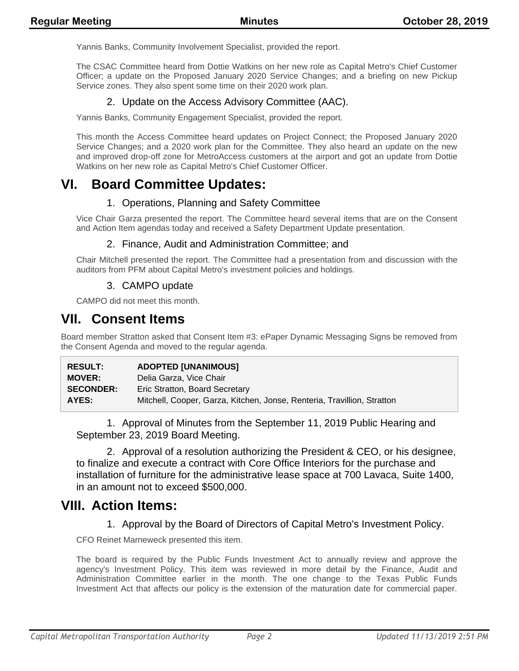Yannis Banks, Community Involvement Specialist, provided the report.

The CSAC Committee heard from Dottie Watkins on her new role as Capital Metro's Chief Customer Officer; a update on the Proposed January 2020 Service Changes; and a briefing on new Pickup Service zones. They also spent some time on their 2020 work plan.

### 2. Update on the Access Advisory Committee (AAC).

Yannis Banks, Community Engagement Specialist, provided the report.

This month the Access Committee heard updates on Project Connect; the Proposed January 2020 Service Changes; and a 2020 work plan for the Committee. They also heard an update on the new and improved drop-off zone for MetroAccess customers at the airport and got an update from Dottie Watkins on her new role as Capital Metro's Chief Customer Officer.

## **VI. Board Committee Updates:**

### 1. Operations, Planning and Safety Committee

Vice Chair Garza presented the report. The Committee heard several items that are on the Consent and Action Item agendas today and received a Safety Department Update presentation.

### 2. Finance, Audit and Administration Committee; and

Chair Mitchell presented the report. The Committee had a presentation from and discussion with the auditors from PFM about Capital Metro's investment policies and holdings.

### 3. CAMPO update

CAMPO did not meet this month.

## **VII. Consent Items**

Board member Stratton asked that Consent Item #3: ePaper Dynamic Messaging Signs be removed from the Consent Agenda and moved to the regular agenda.

| <b>RESULT:</b>   | <b>ADOPTED [UNANIMOUS]</b>                                              |
|------------------|-------------------------------------------------------------------------|
| <b>MOVER:</b>    | Delia Garza, Vice Chair                                                 |
| <b>SECONDER:</b> | Eric Stratton, Board Secretary                                          |
| AYES:            | Mitchell, Cooper, Garza, Kitchen, Jonse, Renteria, Travillion, Stratton |

1. Approval of Minutes from the September 11, 2019 Public Hearing and September 23, 2019 Board Meeting.

2. Approval of a resolution authorizing the President & CEO, or his designee, to finalize and execute a contract with Core Office Interiors for the purchase and installation of furniture for the administrative lease space at 700 Lavaca, Suite 1400, in an amount not to exceed \$500,000.

## **VIII. Action Items:**

1. Approval by the Board of Directors of Capital Metro's Investment Policy.

CFO Reinet Marneweck presented this item.

The board is required by the Public Funds Investment Act to annually review and approve the agency's Investment Policy. This item was reviewed in more detail by the Finance, Audit and Administration Committee earlier in the month. The one change to the Texas Public Funds Investment Act that affects our policy is the extension of the maturation date for commercial paper.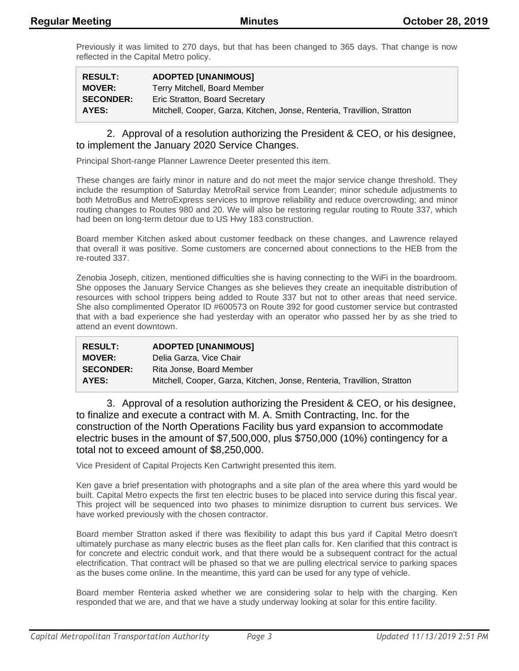Previously it was limited to 270 days, but that has been changed to 365 days. That change is now reflected in the Capital Metro policy.

| <b>RESULT:</b>   | <b>ADOPTED [UNANIMOUS]</b>                                              |
|------------------|-------------------------------------------------------------------------|
| <b>MOVER:</b>    | Terry Mitchell, Board Member                                            |
| <b>SECONDER:</b> | Eric Stratton, Board Secretary                                          |
| AYES:            | Mitchell, Cooper, Garza, Kitchen, Jonse, Renteria, Travillion, Stratton |

#### 2. Approval of a resolution authorizing the President & CEO, or his designee, to implement the January 2020 Service Changes.

Principal Short-range Planner Lawrence Deeter presented this item.

These changes are fairly minor in nature and do not meet the major service change threshold. They include the resumption of Saturday MetroRail service from Leander; minor schedule adjustments to both MetroBus and MetroExpress services to improve reliability and reduce overcrowding; and minor routing changes to Routes 980 and 20. We will also be restoring regular routing to Route 337, which had been on long-term detour due to US Hwy 183 construction.

Board member Kitchen asked about customer feedback on these changes, and Lawrence relayed that overall it was positive. Some customers are concerned about connections to the HEB from the re-routed 337.

Zenobia Joseph, citizen, mentioned difficulties she is having connecting to the WiFi in the boardroom. She opposes the January Service Changes as she believes they create an inequitable distribution of resources with school trippers being added to Route 337 but not to other areas that need service. She also complimented Operator ID #600573 on Route 392 for good customer service but contrasted that with a bad experience she had yesterday with an operator who passed her by as she tried to attend an event downtown.

| <b>RESULT:</b>   | <b>ADOPTED [UNANIMOUS]</b>                                              |
|------------------|-------------------------------------------------------------------------|
| <b>MOVER:</b>    | Delia Garza, Vice Chair                                                 |
| <b>SECONDER:</b> | Rita Jonse, Board Member                                                |
| AYES:            | Mitchell, Cooper, Garza, Kitchen, Jonse, Renteria, Travillion, Stratton |

3. Approval of a resolution authorizing the President & CEO, or his designee, to finalize and execute a contract with M. A. Smith Contracting, Inc. for the construction of the North Operations Facility bus yard expansion to accommodate electric buses in the amount of \$7,500,000, plus \$750,000 (10%) contingency for a total not to exceed amount of \$8,250,000.

Vice President of Capital Projects Ken Cartwright presented this item.

Ken gave a brief presentation with photographs and a site plan of the area where this yard would be built. Capital Metro expects the first ten electric buses to be placed into service during this fiscal year. This project will be sequenced into two phases to minimize disruption to current bus services. We have worked previously with the chosen contractor.

Board member Stratton asked if there was flexibility to adapt this bus yard if Capital Metro doesn't ultimately purchase as many electric buses as the fleet plan calls for. Ken clarified that this contract is for concrete and electric conduit work, and that there would be a subsequent contract for the actual electrification. That contract will be phased so that we are pulling electrical service to parking spaces as the buses come online. In the meantime, this yard can be used for any type of vehicle.

Board member Renteria asked whether we are considering solar to help with the charging. Ken responded that we are, and that we have a study underway looking at solar for this entire facility.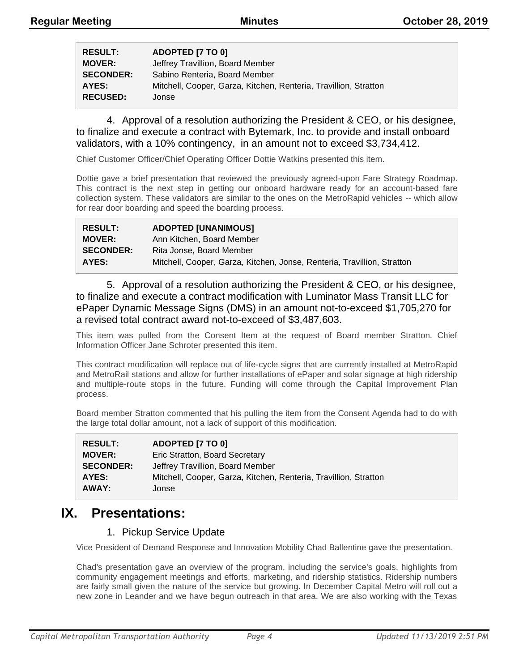| <b>RESULT:</b>   | ADOPTED [7 TO 0]                                                 |
|------------------|------------------------------------------------------------------|
| <b>MOVER:</b>    | Jeffrey Travillion, Board Member                                 |
| <b>SECONDER:</b> | Sabino Renteria, Board Member                                    |
| AYES:            | Mitchell, Cooper, Garza, Kitchen, Renteria, Travillion, Stratton |
| <b>RECUSED:</b>  | Jonse                                                            |

4. Approval of a resolution authorizing the President & CEO, or his designee, to finalize and execute a contract with Bytemark, Inc. to provide and install onboard validators, with a 10% contingency, in an amount not to exceed \$3,734,412.

Chief Customer Officer/Chief Operating Officer Dottie Watkins presented this item.

Dottie gave a brief presentation that reviewed the previously agreed-upon Fare Strategy Roadmap. This contract is the next step in getting our onboard hardware ready for an account-based fare collection system. These validators are similar to the ones on the MetroRapid vehicles -- which allow for rear door boarding and speed the boarding process.

| <b>RESULT:</b>   | <b>ADOPTED [UNANIMOUS]</b>                                              |
|------------------|-------------------------------------------------------------------------|
| <b>MOVER:</b>    | Ann Kitchen, Board Member                                               |
| <b>SECONDER:</b> | Rita Jonse, Board Member                                                |
| AYES:            | Mitchell, Cooper, Garza, Kitchen, Jonse, Renteria, Travillion, Stratton |

5. Approval of a resolution authorizing the President & CEO, or his designee, to finalize and execute a contract modification with Luminator Mass Transit LLC for ePaper Dynamic Message Signs (DMS) in an amount not-to-exceed \$1,705,270 for a revised total contract award not-to-exceed of \$3,487,603.

This item was pulled from the Consent Item at the request of Board member Stratton. Chief Information Officer Jane Schroter presented this item.

This contract modification will replace out of life-cycle signs that are currently installed at MetroRapid and MetroRail stations and allow for further installations of ePaper and solar signage at high ridership and multiple-route stops in the future. Funding will come through the Capital Improvement Plan process.

Board member Stratton commented that his pulling the item from the Consent Agenda had to do with the large total dollar amount, not a lack of support of this modification.

| <b>RESULT:</b>   | ADOPTED [7 TO 0]                                                 |
|------------------|------------------------------------------------------------------|
| <b>MOVER:</b>    | Eric Stratton, Board Secretary                                   |
| <b>SECONDER:</b> | Jeffrey Travillion, Board Member                                 |
| AYES:            | Mitchell, Cooper, Garza, Kitchen, Renteria, Travillion, Stratton |
| AWAY:            | Jonse                                                            |

## **IX. Presentations:**

### 1. Pickup Service Update

Vice President of Demand Response and Innovation Mobility Chad Ballentine gave the presentation.

Chad's presentation gave an overview of the program, including the service's goals, highlights from community engagement meetings and efforts, marketing, and ridership statistics. Ridership numbers are fairly small given the nature of the service but growing. In December Capital Metro will roll out a new zone in Leander and we have begun outreach in that area. We are also working with the Texas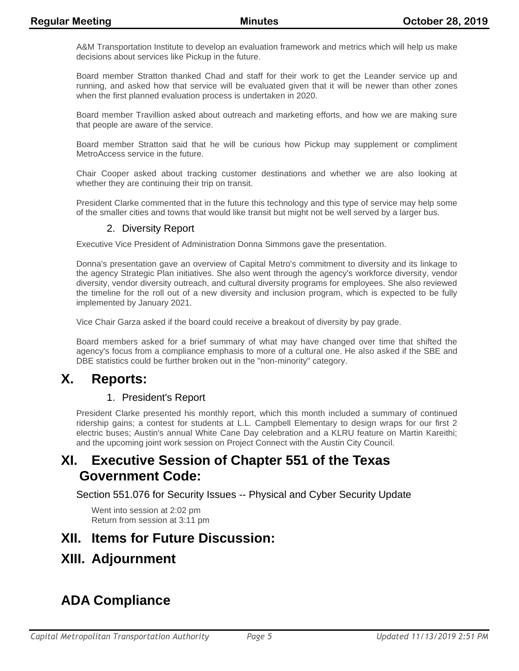A&M Transportation Institute to develop an evaluation framework and metrics which will help us make decisions about services like Pickup in the future.

Board member Stratton thanked Chad and staff for their work to get the Leander service up and running, and asked how that service will be evaluated given that it will be newer than other zones when the first planned evaluation process is undertaken in 2020.

Board member Travillion asked about outreach and marketing efforts, and how we are making sure that people are aware of the service.

Board member Stratton said that he will be curious how Pickup may supplement or compliment MetroAccess service in the future.

Chair Cooper asked about tracking customer destinations and whether we are also looking at whether they are continuing their trip on transit.

President Clarke commented that in the future this technology and this type of service may help some of the smaller cities and towns that would like transit but might not be well served by a larger bus.

### 2. Diversity Report

Executive Vice President of Administration Donna Simmons gave the presentation.

Donna's presentation gave an overview of Capital Metro's commitment to diversity and its linkage to the agency Strategic Plan initiatives. She also went through the agency's workforce diversity, vendor diversity, vendor diversity outreach, and cultural diversity programs for employees. She also reviewed the timeline for the roll out of a new diversity and inclusion program, which is expected to be fully implemented by January 2021.

Vice Chair Garza asked if the board could receive a breakout of diversity by pay grade.

Board members asked for a brief summary of what may have changed over time that shifted the agency's focus from a compliance emphasis to more of a cultural one. He also asked if the SBE and DBE statistics could be further broken out in the "non-minority" category.

## **X. Reports:**

### 1. President's Report

President Clarke presented his monthly report, which this month included a summary of continued ridership gains; a contest for students at L.L. Campbell Elementary to design wraps for our first 2 electric buses; Austin's annual White Cane Day celebration and a KLRU feature on Martin Kareithi; and the upcoming joint work session on Project Connect with the Austin City Council.

## **XI. Executive Session of Chapter 551 of the Texas Government Code:**

Section 551.076 for Security Issues -- Physical and Cyber Security Update

Went into session at 2:02 pm Return from session at 3:11 pm

## **XII. Items for Future Discussion:**

## **XIII. Adjournment**

# **ADA Compliance**